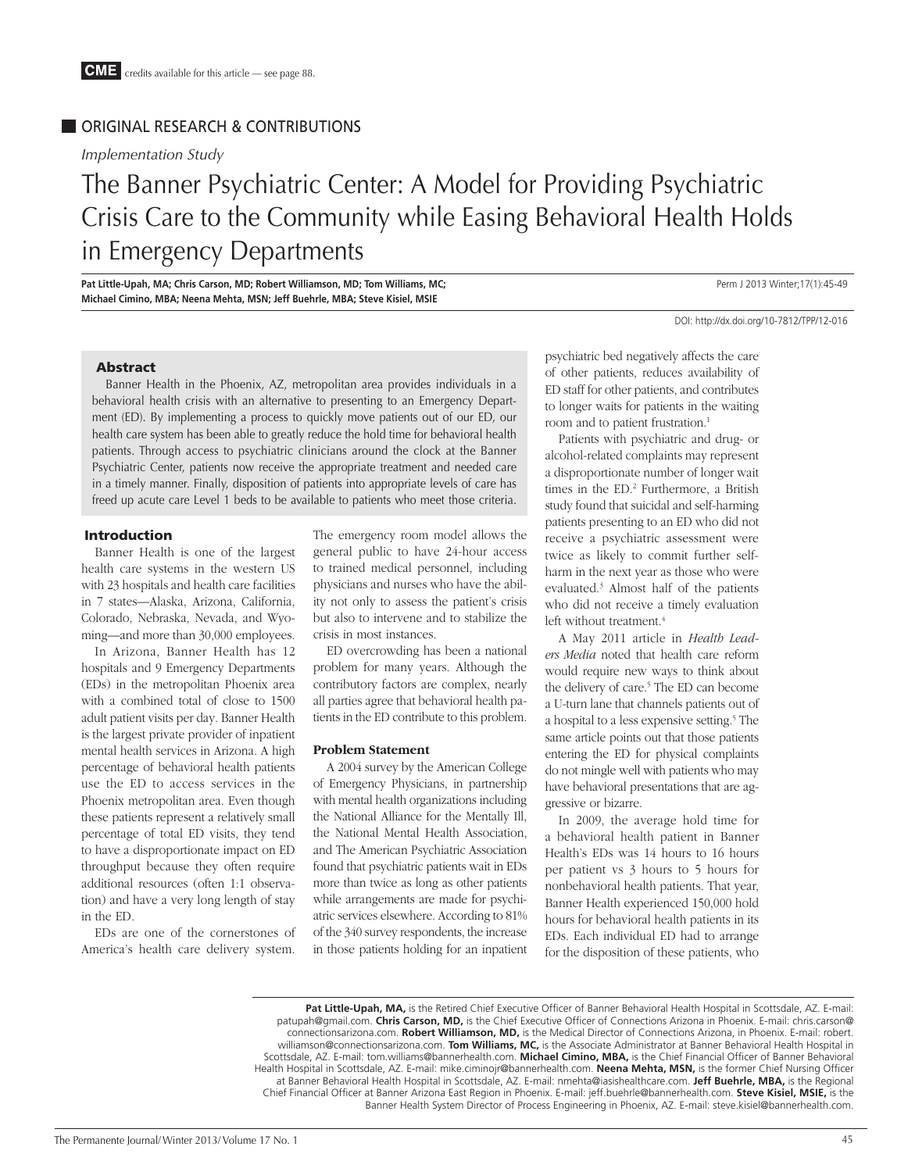# ORIGINAL RESEARCH & CONTRIBUTIONS

*Implementation Study*

# The Banner Psychiatric Center: A Model for Providing Psychiatric Crisis Care to the Community while Easing Behavioral Health Holds in Emergency Departments

Pat Little-Upah, MA; Chris Carson, MD; Robert Williamson, MD; Tom Williams, MC; **Pat Little-Upah, MA;** Perm J 2013 Winter;17(1):45-49 **Michael Cimino, MBA; Neena Mehta, MSN; Jeff Buehrle, MBA; Steve Kisiel, MSIE**

DOI: http://dx.doi.org/10-7812/TPP/12-016

### Abstract

Banner Health in the Phoenix, AZ, metropolitan area provides individuals in a behavioral health crisis with an alternative to presenting to an Emergency Department (ED). By implementing a process to quickly move patients out of our ED, our health care system has been able to greatly reduce the hold time for behavioral health patients. Through access to psychiatric clinicians around the clock at the Banner Psychiatric Center, patients now receive the appropriate treatment and needed care in a timely manner. Finally, disposition of patients into appropriate levels of care has freed up acute care Level 1 beds to be available to patients who meet those criteria.

## Introduction

Banner Health is one of the largest health care systems in the western US with 23 hospitals and health care facilities in 7 states—Alaska, Arizona, California, Colorado, Nebraska, Nevada, and Wyoming—and more than 30,000 employees.

In Arizona, Banner Health has 12 hospitals and 9 Emergency Departments (EDs) in the metropolitan Phoenix area with a combined total of close to 1500 adult patient visits per day. Banner Health is the largest private provider of inpatient mental health services in Arizona. A high percentage of behavioral health patients use the ED to access services in the Phoenix metropolitan area. Even though these patients represent a relatively small percentage of total ED visits, they tend to have a disproportionate impact on ED throughput because they often require additional resources (often 1:1 observation) and have a very long length of stay in the ED.

EDs are one of the cornerstones of America's health care delivery system.

The emergency room model allows the general public to have 24-hour access to trained medical personnel, including physicians and nurses who have the ability not only to assess the patient's crisis but also to intervene and to stabilize the crisis in most instances.

ED overcrowding has been a national problem for many years. Although the contributory factors are complex, nearly all parties agree that behavioral health patients in the ED contribute to this problem.

#### **Problem Statement**

A 2004 survey by the American College of Emergency Physicians, in partnership with mental health organizations including the National Alliance for the Mentally Ill, the National Mental Health Association, and The American Psychiatric Association found that psychiatric patients wait in EDs more than twice as long as other patients while arrangements are made for psychiatric services elsewhere. According to 81% of the 340 survey respondents, the increase in those patients holding for an inpatient

psychiatric bed negatively affects the care of other patients, reduces availability of ED staff for other patients, and contributes to longer waits for patients in the waiting room and to patient frustration.<sup>1</sup>

Patients with psychiatric and drug- or alcohol-related complaints may represent a disproportionate number of longer wait times in the ED.<sup>2</sup> Furthermore, a British study found that suicidal and self-harming patients presenting to an ED who did not receive a psychiatric assessment were twice as likely to commit further selfharm in the next year as those who were evaluated.3 Almost half of the patients who did not receive a timely evaluation left without treatment.<sup>4</sup>

A May 2011 article in *Health Leaders Media* noted that health care reform would require new ways to think about the delivery of care.<sup>5</sup> The ED can become a U-turn lane that channels patients out of a hospital to a less expensive setting.<sup>5</sup> The same article points out that those patients entering the ED for physical complaints do not mingle well with patients who may have behavioral presentations that are aggressive or bizarre.

In 2009, the average hold time for a behavioral health patient in Banner Health's EDs was 14 hours to 16 hours per patient vs 3 hours to 5 hours for nonbehavioral health patients. That year, Banner Health experienced 150,000 hold hours for behavioral health patients in its EDs. Each individual ED had to arrange for the disposition of these patients, who

**Pat Little-Upah, MA,** is the Retired Chief Executive Officer of Banner Behavioral Health Hospital in Scottsdale, AZ. E-mail: patupah@gmail.com. **Chris Carson, MD,** is the Chief Executive Officer of Connections Arizona in Phoenix. E-mail: chris.carson@ connectionsarizona.com. **Robert Williamson, MD,** is the Medical Director of Connections Arizona, in Phoenix. E-mail: robert. williamson@connectionsarizona.com. **Tom Williams, MC,** is the Associate Administrator at Banner Behavioral Health Hospital in Scottsdale, AZ. E-mail: tom.williams@bannerhealth.com. **Michael Cimino, MBA,** is the Chief Financial Officer of Banner Behavioral Health Hospital in Scottsdale, AZ. E-mail: mike.ciminojr@bannerhealth.com. **Neena Mehta, MSN,** is the former Chief Nursing Officer at Banner Behavioral Health Hospital in Scottsdale, AZ. E-mail: nmehta@iasishealthcare.com. **Jeff Buehrle, MBA,** is the Regional Chief Financial Officer at Banner Arizona East Region in Phoenix. E-mail: jeff.buehrle@bannerhealth.com. **Steve Kisiel, MSIE,** is the Banner Health System Director of Process Engineering in Phoenix, AZ. E-mail: steve.kisiel@bannerhealth.com.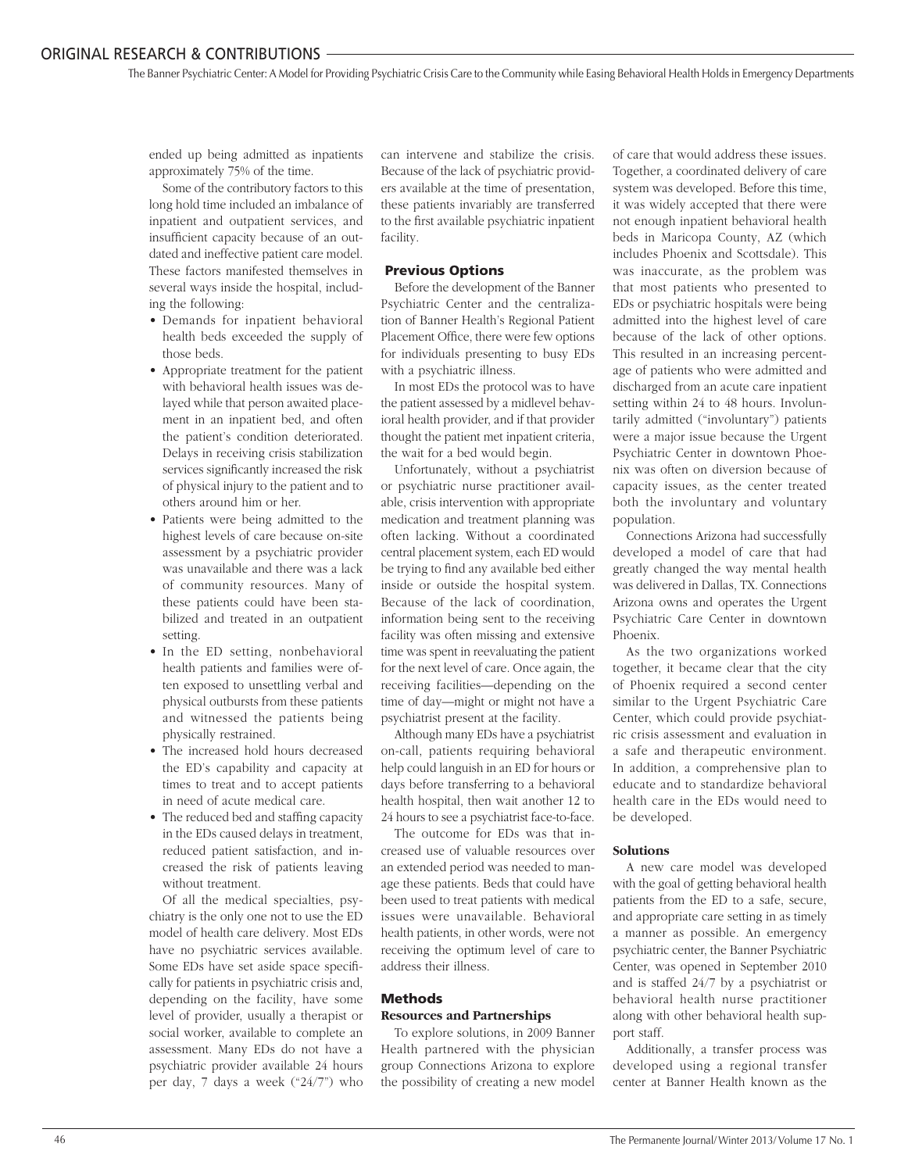The Banner Psychiatric Center:A Model for Providing Psychiatric Crisis Care to the Community while Easing Behavioral Health Holds in Emergency Departments

ended up being admitted as inpatients approximately 75% of the time.

Some of the contributory factors to this long hold time included an imbalance of inpatient and outpatient services, and insufficient capacity because of an outdated and ineffective patient care model. These factors manifested themselves in several ways inside the hospital, including the following:

- Demands for inpatient behavioral health beds exceeded the supply of those beds.
- Appropriate treatment for the patient with behavioral health issues was delayed while that person awaited placement in an inpatient bed, and often the patient's condition deteriorated. Delays in receiving crisis stabilization services significantly increased the risk of physical injury to the patient and to others around him or her.
- Patients were being admitted to the highest levels of care because on-site assessment by a psychiatric provider was unavailable and there was a lack of community resources. Many of these patients could have been stabilized and treated in an outpatient setting.
- In the ED setting, nonbehavioral health patients and families were often exposed to unsettling verbal and physical outbursts from these patients and witnessed the patients being physically restrained.
- The increased hold hours decreased the ED's capability and capacity at times to treat and to accept patients in need of acute medical care.
- The reduced bed and staffing capacity in the EDs caused delays in treatment, reduced patient satisfaction, and increased the risk of patients leaving without treatment.

Of all the medical specialties, psychiatry is the only one not to use the ED model of health care delivery. Most EDs have no psychiatric services available. Some EDs have set aside space specifically for patients in psychiatric crisis and, depending on the facility, have some level of provider, usually a therapist or social worker, available to complete an assessment. Many EDs do not have a psychiatric provider available 24 hours per day, 7 days a week ("24/7") who

can intervene and stabilize the crisis. Because of the lack of psychiatric providers available at the time of presentation, these patients invariably are transferred to the first available psychiatric inpatient facility.

# Previous Options

Before the development of the Banner Psychiatric Center and the centralization of Banner Health's Regional Patient Placement Office, there were few options for individuals presenting to busy EDs with a psychiatric illness.

In most EDs the protocol was to have the patient assessed by a midlevel behavioral health provider, and if that provider thought the patient met inpatient criteria, the wait for a bed would begin.

Unfortunately, without a psychiatrist or psychiatric nurse practitioner available, crisis intervention with appropriate medication and treatment planning was often lacking. Without a coordinated central placement system, each ED would be trying to find any available bed either inside or outside the hospital system. Because of the lack of coordination, information being sent to the receiving facility was often missing and extensive time was spent in reevaluating the patient for the next level of care. Once again, the receiving facilities—depending on the time of day—might or might not have a psychiatrist present at the facility.

Although many EDs have a psychiatrist on-call, patients requiring behavioral help could languish in an ED for hours or days before transferring to a behavioral health hospital, then wait another 12 to 24 hours to see a psychiatrist face-to-face.

The outcome for EDs was that increased use of valuable resources over an extended period was needed to manage these patients. Beds that could have been used to treat patients with medical issues were unavailable. Behavioral health patients, in other words, were not receiving the optimum level of care to address their illness.

# Methods **Resources and Partnerships**

To explore solutions, in 2009 Banner Health partnered with the physician group Connections Arizona to explore the possibility of creating a new model

of care that would address these issues. Together, a coordinated delivery of care system was developed. Before this time, it was widely accepted that there were not enough inpatient behavioral health beds in Maricopa County, AZ (which includes Phoenix and Scottsdale). This was inaccurate, as the problem was that most patients who presented to EDs or psychiatric hospitals were being admitted into the highest level of care because of the lack of other options. This resulted in an increasing percentage of patients who were admitted and discharged from an acute care inpatient setting within 24 to 48 hours. Involuntarily admitted ("involuntary") patients were a major issue because the Urgent Psychiatric Center in downtown Phoenix was often on diversion because of capacity issues, as the center treated both the involuntary and voluntary population.

Connections Arizona had successfully developed a model of care that had greatly changed the way mental health was delivered in Dallas, TX. Connections Arizona owns and operates the Urgent Psychiatric Care Center in downtown Phoenix.

As the two organizations worked together, it became clear that the city of Phoenix required a second center similar to the Urgent Psychiatric Care Center, which could provide psychiatric crisis assessment and evaluation in a safe and therapeutic environment. In addition, a comprehensive plan to educate and to standardize behavioral health care in the EDs would need to be developed.

## **Solutions**

A new care model was developed with the goal of getting behavioral health patients from the ED to a safe, secure, and appropriate care setting in as timely a manner as possible. An emergency psychiatric center, the Banner Psychiatric Center, was opened in September 2010 and is staffed 24/7 by a psychiatrist or behavioral health nurse practitioner along with other behavioral health support staff.

Additionally, a transfer process was developed using a regional transfer center at Banner Health known as the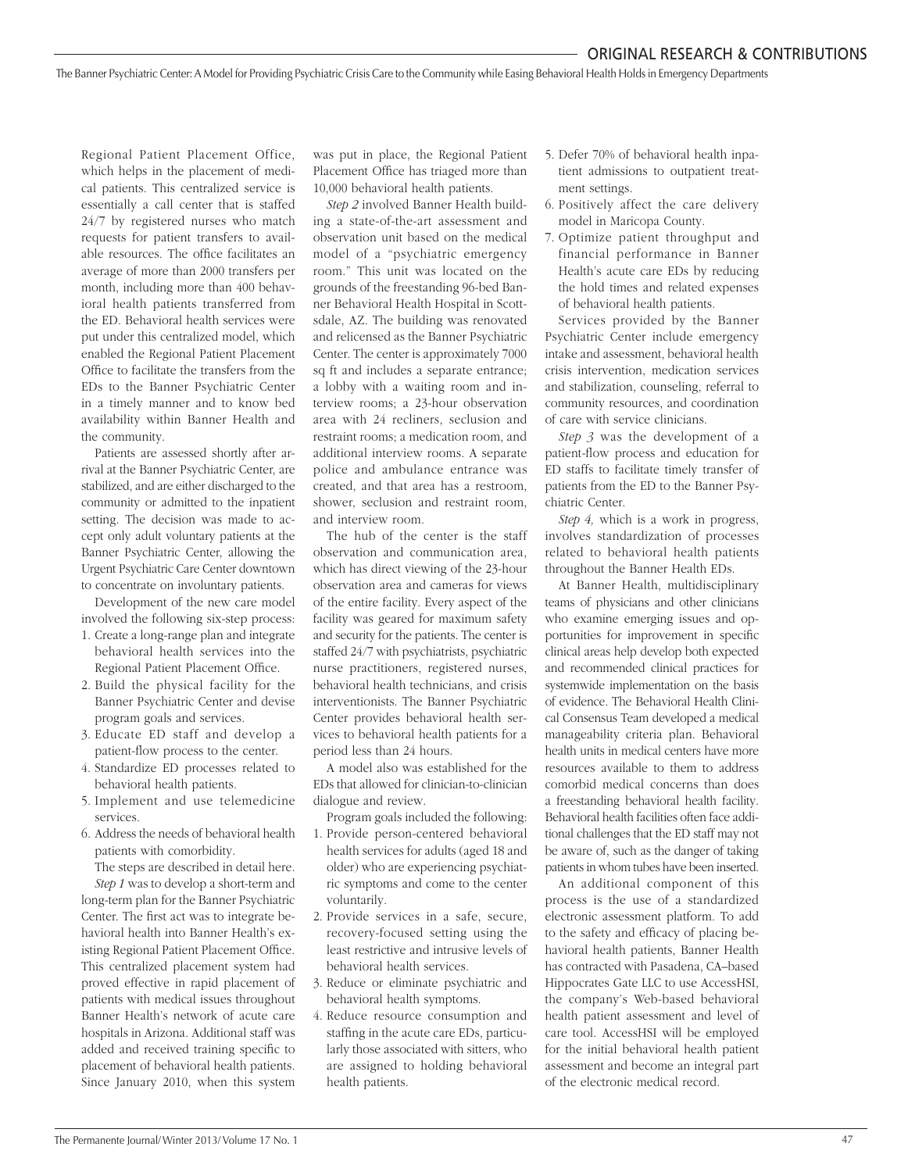The Banner Psychiatric Center:A Model for Providing Psychiatric Crisis Care to the Community while Easing Behavioral Health Holdsin Emergency Departments

Regional Patient Placement Office, which helps in the placement of medical patients. This centralized service is essentially a call center that is staffed 24/7 by registered nurses who match requests for patient transfers to available resources. The office facilitates an average of more than 2000 transfers per month, including more than 400 behavioral health patients transferred from the ED. Behavioral health services were put under this centralized model, which enabled the Regional Patient Placement Office to facilitate the transfers from the EDs to the Banner Psychiatric Center in a timely manner and to know bed availability within Banner Health and the community.

Patients are assessed shortly after arrival at the Banner Psychiatric Center, are stabilized, and are either discharged to the community or admitted to the inpatient setting. The decision was made to accept only adult voluntary patients at the Banner Psychiatric Center, allowing the Urgent Psychiatric Care Center downtown to concentrate on involuntary patients.

Development of the new care model involved the following six-step process:

- 1. Create a long-range plan and integrate behavioral health services into the Regional Patient Placement Office.
- 2. Build the physical facility for the Banner Psychiatric Center and devise program goals and services.
- 3. Educate ED staff and develop a patient-flow process to the center.
- 4. Standardize ED processes related to behavioral health patients.
- 5. Implement and use telemedicine services.
- 6. Address the needs of behavioral health patients with comorbidity.

The steps are described in detail here. *Step 1* was to develop a short-term and

long-term plan for the Banner Psychiatric Center. The first act was to integrate behavioral health into Banner Health's existing Regional Patient Placement Office. This centralized placement system had proved effective in rapid placement of patients with medical issues throughout Banner Health's network of acute care hospitals in Arizona. Additional staff was added and received training specific to placement of behavioral health patients. Since January 2010, when this system was put in place, the Regional Patient Placement Office has triaged more than 10,000 behavioral health patients.

*Step 2* involved Banner Health building a state-of-the-art assessment and observation unit based on the medical model of a "psychiatric emergency room." This unit was located on the grounds of the freestanding 96-bed Banner Behavioral Health Hospital in Scottsdale, AZ. The building was renovated and relicensed as the Banner Psychiatric Center. The center is approximately 7000 sq ft and includes a separate entrance; a lobby with a waiting room and interview rooms; a 23-hour observation area with 24 recliners, seclusion and restraint rooms; a medication room, and additional interview rooms. A separate police and ambulance entrance was created, and that area has a restroom, shower, seclusion and restraint room, and interview room.

The hub of the center is the staff observation and communication area, which has direct viewing of the 23-hour observation area and cameras for views of the entire facility. Every aspect of the facility was geared for maximum safety and security for the patients. The center is staffed 24/7 with psychiatrists, psychiatric nurse practitioners, registered nurses, behavioral health technicians, and crisis interventionists. The Banner Psychiatric Center provides behavioral health services to behavioral health patients for a period less than 24 hours.

A model also was established for the EDs that allowed for clinician-to-clinician dialogue and review.

Program goals included the following:

- 1. Provide person-centered behavioral health services for adults (aged 18 and older) who are experiencing psychiatric symptoms and come to the center voluntarily.
- 2. Provide services in a safe, secure, recovery-focused setting using the least restrictive and intrusive levels of behavioral health services.
- 3. Reduce or eliminate psychiatric and behavioral health symptoms.
- 4. Reduce resource consumption and staffing in the acute care EDs, particularly those associated with sitters, who are assigned to holding behavioral health patients.
- 5. Defer 70% of behavioral health inpatient admissions to outpatient treatment settings.
- 6. Positively affect the care delivery model in Maricopa County.
- 7. Optimize patient throughput and financial performance in Banner Health's acute care EDs by reducing the hold times and related expenses of behavioral health patients.

Services provided by the Banner Psychiatric Center include emergency intake and assessment, behavioral health crisis intervention, medication services and stabilization, counseling, referral to community resources, and coordination of care with service clinicians.

*Step 3* was the development of a patient-flow process and education for ED staffs to facilitate timely transfer of patients from the ED to the Banner Psychiatric Center.

*Step 4,* which is a work in progress, involves standardization of processes related to behavioral health patients throughout the Banner Health EDs.

At Banner Health, multidisciplinary teams of physicians and other clinicians who examine emerging issues and opportunities for improvement in specific clinical areas help develop both expected and recommended clinical practices for systemwide implementation on the basis of evidence. The Behavioral Health Clinical Consensus Team developed a medical manageability criteria plan. Behavioral health units in medical centers have more resources available to them to address comorbid medical concerns than does a freestanding behavioral health facility. Behavioral health facilities often face additional challenges that the ED staff may not be aware of, such as the danger of taking patients in whom tubes have been inserted.

An additional component of this process is the use of a standardized electronic assessment platform. To add to the safety and efficacy of placing behavioral health patients, Banner Health has contracted with Pasadena, CA–based Hippocrates Gate LLC to use AccessHSI, the company's Web-based behavioral health patient assessment and level of care tool. AccessHSI will be employed for the initial behavioral health patient assessment and become an integral part of the electronic medical record.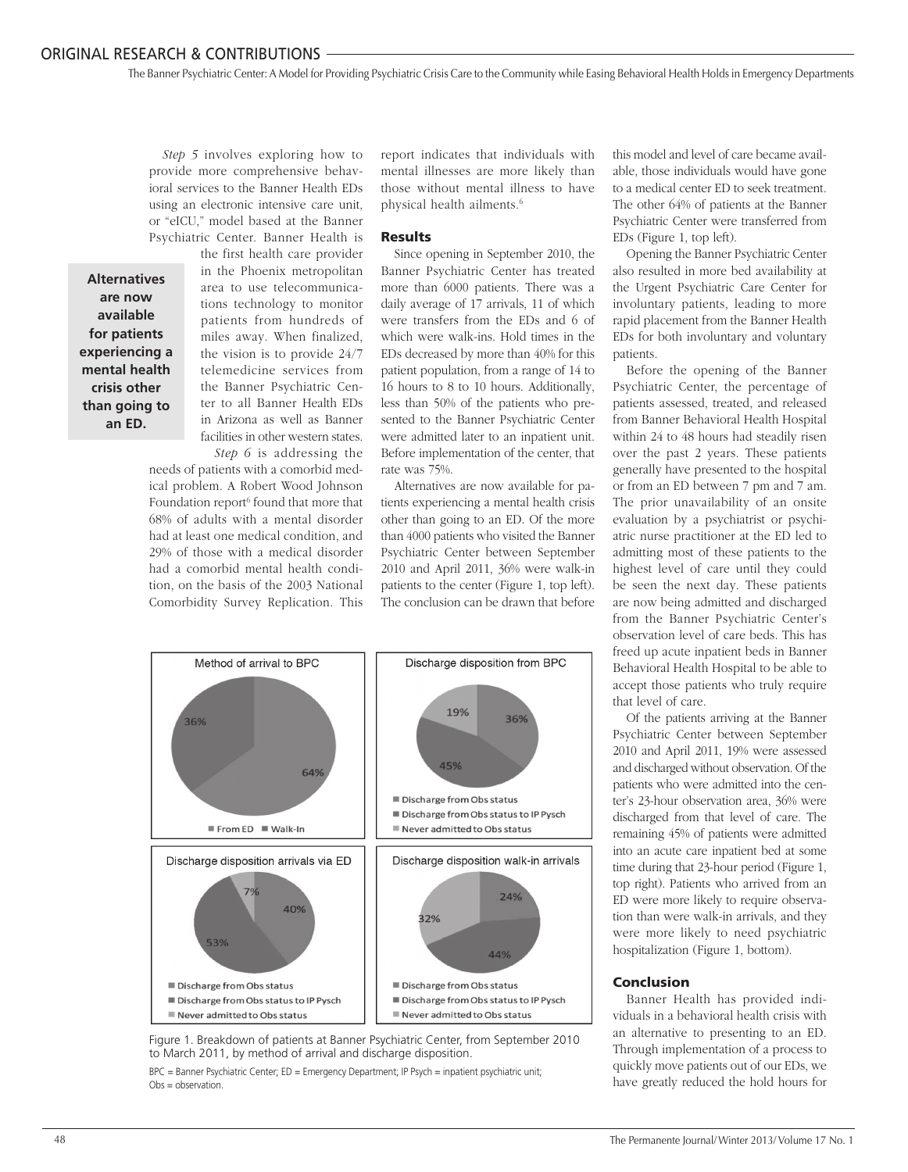The Banner Psychiatric Center:A Model for Providing Psychiatric Crisis Care to the Community while Easing Behavioral Health Holds in Emergency Departments

*Step 5* involves exploring how to provide more comprehensive behavioral services to the Banner Health EDs using an electronic intensive care unit, or "eICU," model based at the Banner Psychiatric Center. Banner Health is

**Alternatives are now available for patients experiencing a mental health crisis other than going to an ED.**

the first health care provider in the Phoenix metropolitan area to use telecommunications technology to monitor patients from hundreds of miles away. When finalized, the vision is to provide 24/7 telemedicine services from the Banner Psychiatric Center to all Banner Health EDs in Arizona as well as Banner facilities in other western states. *Step 6* is addressing the

needs of patients with a comorbid medical problem. A Robert Wood Johnson Foundation report<sup>6</sup> found that more that 68% of adults with a mental disorder had at least one medical condition, and 29% of those with a medical disorder had a comorbid mental health condition, on the basis of the 2003 National Comorbidity Survey Replication. This

report indicates that individuals with mental illnesses are more likely than those without mental illness to have physical health ailments.6

#### Results

Since opening in September 2010, the Banner Psychiatric Center has treated more than 6000 patients. There was a daily average of 17 arrivals, 11 of which were transfers from the EDs and 6 of which were walk-ins. Hold times in the EDs decreased by more than 40% for this patient population, from a range of 14 to 16 hours to 8 to 10 hours. Additionally, less than 50% of the patients who presented to the Banner Psychiatric Center were admitted later to an inpatient unit. Before implementation of the center, that rate was 75%.

Alternatives are now available for patients experiencing a mental health crisis other than going to an ED. Of the more than 4000 patients who visited the Banner Psychiatric Center between September 2010 and April 2011, 36% were walk-in patients to the center (Figure 1, top left). The conclusion can be drawn that before



Figure 1. Breakdown of patients at Banner Psychiatric Center, from September 2010 to March 2011, by method of arrival and discharge disposition.

BPC = Banner Psychiatric Center; ED = Emergency Department; IP Psych = inpatient psychiatric unit; Obs = observation.

this model and level of care became available, those individuals would have gone to a medical center ED to seek treatment. The other 64% of patients at the Banner Psychiatric Center were transferred from EDs (Figure 1, top left).

Opening the Banner Psychiatric Center also resulted in more bed availability at the Urgent Psychiatric Care Center for involuntary patients, leading to more rapid placement from the Banner Health EDs for both involuntary and voluntary patients.

Before the opening of the Banner Psychiatric Center, the percentage of patients assessed, treated, and released from Banner Behavioral Health Hospital within 24 to 48 hours had steadily risen over the past 2 years. These patients generally have presented to the hospital or from an ED between 7 pm and 7 am. The prior unavailability of an onsite evaluation by a psychiatrist or psychiatric nurse practitioner at the ED led to admitting most of these patients to the highest level of care until they could be seen the next day. These patients are now being admitted and discharged from the Banner Psychiatric Center's observation level of care beds. This has freed up acute inpatient beds in Banner Behavioral Health Hospital to be able to accept those patients who truly require that level of care.

Of the patients arriving at the Banner Psychiatric Center between September 2010 and April 2011, 19% were assessed and discharged without observation. Of the patients who were admitted into the center's 23-hour observation area, 36% were discharged from that level of care. The remaining 45% of patients were admitted into an acute care inpatient bed at some time during that 23-hour period (Figure 1, top right). Patients who arrived from an ED were more likely to require observation than were walk-in arrivals, and they were more likely to need psychiatric hospitalization (Figure 1, bottom).

#### Conclusion

Banner Health has provided individuals in a behavioral health crisis with an alternative to presenting to an ED. Through implementation of a process to quickly move patients out of our EDs, we have greatly reduced the hold hours for